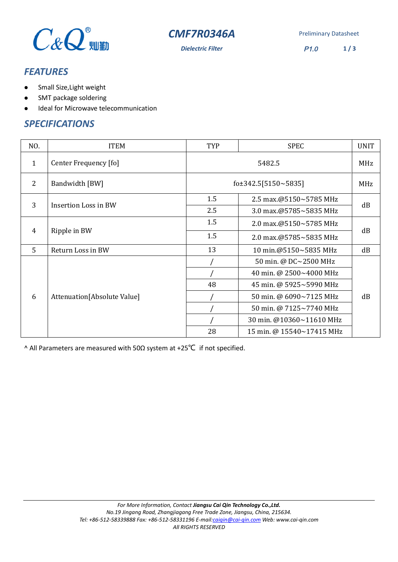

**CMF7R0346A** Preliminary Datasheet

*Dielectric Filter* P1.0 **1 / 3**

## *FEATURES*

- Small Size,Light weight
- SMT package soldering
- Ideal for Microwave telecommunication

#### *SPECIFICATIONS*

| NO.          | <b>ITEM</b>                 | TYP                       | <b>SPEC</b>               | <b>UNIT</b> |
|--------------|-----------------------------|---------------------------|---------------------------|-------------|
| $\mathbf{1}$ | Center Frequency [fo]       | 5482.5                    |                           | MHz         |
| 2            | Bandwidth [BW]              | fo $\pm$ 342.5[5150~5835] |                           | MHz         |
| 3            | Insertion Loss in BW        | 1.5                       | 2.5 max.@5150~5785 MHz    | dB          |
|              |                             | 2.5                       | 3.0 max.@5785~5835 MHz    |             |
| 4            | Ripple in BW                | 1.5                       | 2.0 max.@5150~5785 MHz    | dB          |
|              |                             | 1.5                       | 2.0 max.@5785~5835 MHz    |             |
| 5            | Return Loss in BW           | 13                        | 10 min.@5150~5835 MHz     | dB          |
| 6            | Attenuation[Absolute Value] |                           | 50 min. @ DC~2500 MHz     | dB          |
|              |                             |                           | 40 min. @ 2500~4000 MHz   |             |
|              |                             | 48                        | 45 min. @ 5925~5990 MHz   |             |
|              |                             |                           | 50 min. @ 6090~7125 MHz   |             |
|              |                             |                           | 50 min. @ 7125~7740 MHz   |             |
|              |                             |                           | 30 min. @10360~11610 MHz  |             |
|              |                             | 28                        | 15 min. @ 15540~17415 MHz |             |

^ All Parameters are measured with 50Ω system at +25℃ if not specified.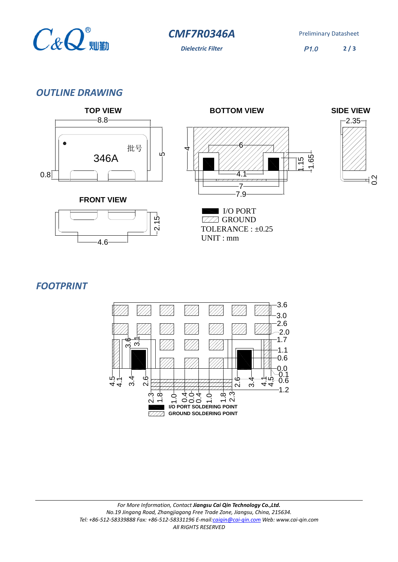

**CMF7R0346A** Preliminary Datasheet

**Dielectric Filter** P1.0

**2 / 3**

### *OUTLINE DRAWING*



*FOOTPRINT*

4.6